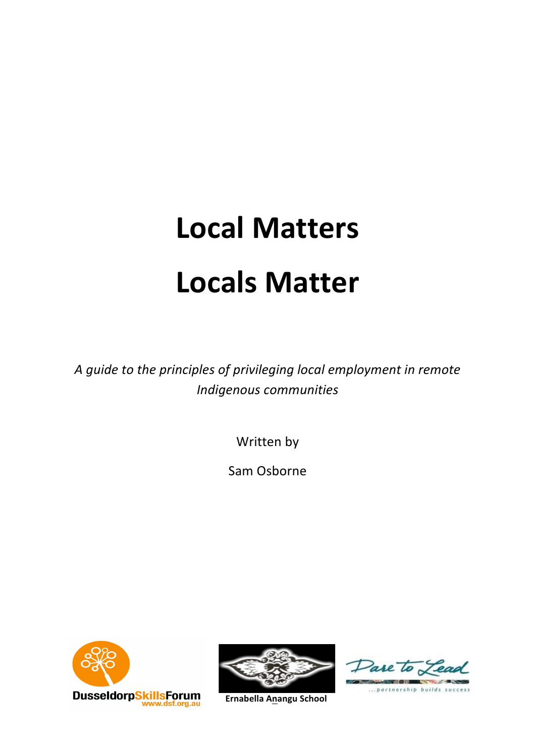# **Local Matters Locals Matter**

*A guide to the principles of privileging local employment in remote Indigenous communities*

Written by

Sam Osborne









... partnership builds success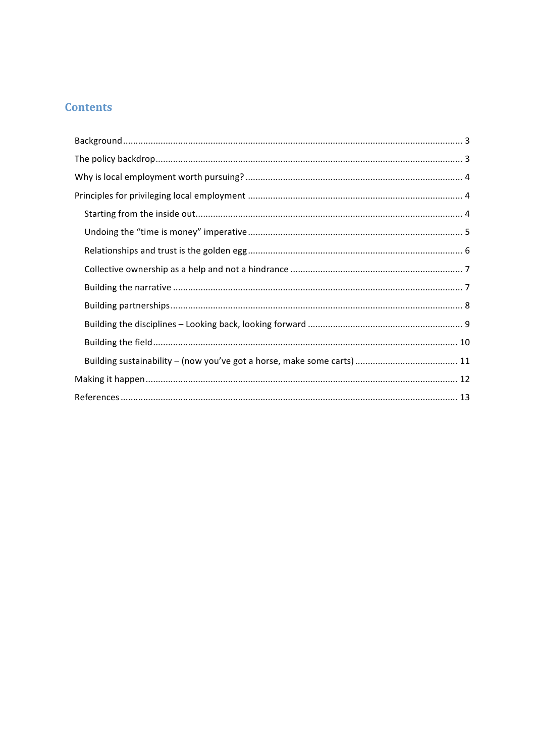# **Contents**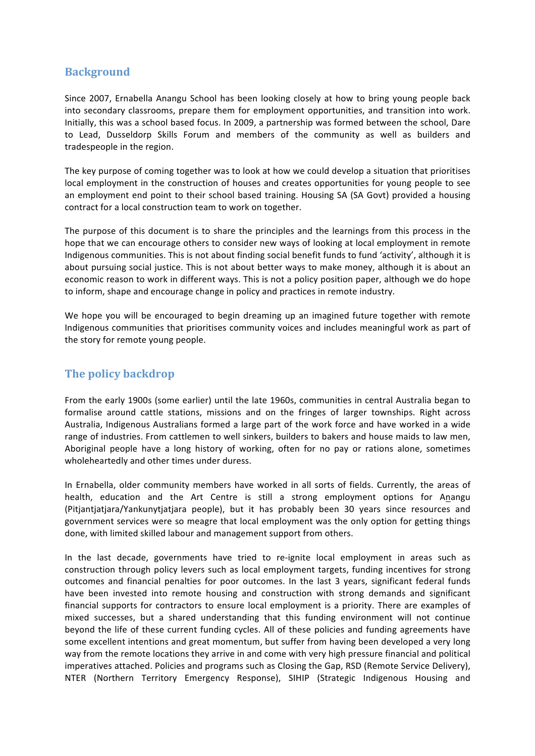## **Background**

Since 2007, Ernabella Anangu School has been looking closely at how to bring young people back into secondary classrooms, prepare them for employment opportunities, and transition into work. Initially, this was a school based focus. In 2009, a partnership was formed between the school, Dare to Lead, Dusseldorp Skills Forum and members of the community as well as builders and tradespeople in the region.

The key purpose of coming together was to look at how we could develop a situation that prioritises local employment in the construction of houses and creates opportunities for young people to see an employment end point to their school based training. Housing SA (SA Govt) provided a housing contract for a local construction team to work on together.

The purpose of this document is to share the principles and the learnings from this process in the hope that we can encourage others to consider new ways of looking at local employment in remote Indigenous communities. This is not about finding social benefit funds to fund 'activity', although it is about pursuing social justice. This is not about better ways to make money, although it is about an economic reason to work in different ways. This is not a policy position paper, although we do hope to inform, shape and encourage change in policy and practices in remote industry.

We hope you will be encouraged to begin dreaming up an imagined future together with remote Indigenous communities that prioritises community voices and includes meaningful work as part of the story for remote young people.

# **The policy backdrop**

From the early 1900s (some earlier) until the late 1960s, communities in central Australia began to formalise around cattle stations, missions and on the fringes of larger townships. Right across Australia, Indigenous Australians formed a large part of the work force and have worked in a wide range of industries. From cattlemen to well sinkers, builders to bakers and house maids to law men, Aboriginal people have a long history of working, often for no pay or rations alone, sometimes wholeheartedly and other times under duress.

In Ernabella, older community members have worked in all sorts of fields. Currently, the areas of health, education and the Art Centre is still a strong employment options for Anangu (Pitjantjatjara/Yankunytjatjara people), but it has probably been 30 years since resources and government services were so meagre that local employment was the only option for getting things done, with limited skilled labour and management support from others.

In the last decade, governments have tried to re-ignite local employment in areas such as construction through policy levers such as local employment targets, funding incentives for strong outcomes and financial penalties for poor outcomes. In the last 3 years, significant federal funds have been invested into remote housing and construction with strong demands and significant financial supports for contractors to ensure local employment is a priority. There are examples of mixed successes, but a shared understanding that this funding environment will not continue beyond the life of these current funding cycles. All of these policies and funding agreements have some excellent intentions and great momentum, but suffer from having been developed a very long way from the remote locations they arrive in and come with very high pressure financial and political imperatives attached. Policies and programs such as Closing the Gap, RSD (Remote Service Delivery), NTER (Northern Territory Emergency Response), SIHIP (Strategic Indigenous Housing and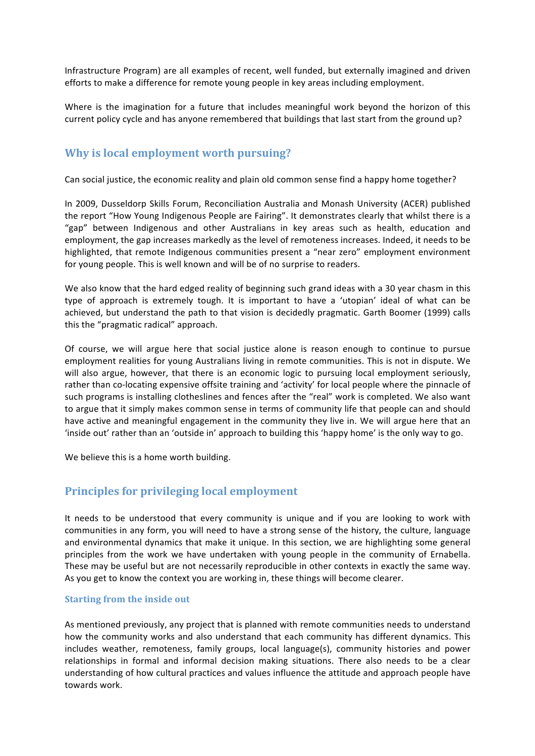Infrastructure Program) are all examples of recent, well funded, but externally imagined and driven efforts to make a difference for remote young people in key areas including employment.

Where is the imagination for a future that includes meaningful work beyond the horizon of this current policy cycle and has anyone remembered that buildings that last start from the ground up?

## **Why is local employment worth pursuing?**

Can social justice, the economic reality and plain old common sense find a happy home together?

In 2009, Dusseldorp Skills Forum, Reconciliation Australia and Monash University (ACER) published the report "How Young Indigenous People are Fairing". It demonstrates clearly that whilst there is a "gap" between Indigenous and other Australians in key areas such as health, education and employment, the gap increases markedly as the level of remoteness increases. Indeed, it needs to be highlighted, that remote Indigenous communities present a "near zero" employment environment for young people. This is well known and will be of no surprise to readers.

We also know that the hard edged reality of beginning such grand ideas with a 30 year chasm in this type of approach is extremely tough. It is important to have a 'utopian' ideal of what can be achieved, but understand the path to that vision is decidedly pragmatic. Garth Boomer (1999) calls this the "pragmatic radical" approach.

Of course, we will argue here that social justice alone is reason enough to continue to pursue employment realities for young Australians living in remote communities. This is not in dispute. We will also argue, however, that there is an economic logic to pursuing local employment seriously, rather than co-locating expensive offsite training and 'activity' for local people where the pinnacle of such programs is installing clotheslines and fences after the "real" work is completed. We also want to argue that it simply makes common sense in terms of community life that people can and should have active and meaningful engagement in the community they live in. We will argue here that an 'inside out' rather than an 'outside in' approach to building this 'happy home' is the only way to go.

We believe this is a home worth building.

## **Principles for privileging local employment**

It needs to be understood that every community is unique and if you are looking to work with communities in any form, you will need to have a strong sense of the history, the culture, language and environmental dynamics that make it unique. In this section, we are highlighting some general principles from the work we have undertaken with young people in the community of Ernabella. These may be useful but are not necessarily reproducible in other contexts in exactly the same way. As you get to know the context you are working in, these things will become clearer.

#### **Starting from the inside out**

As mentioned previously, any project that is planned with remote communities needs to understand how the community works and also understand that each community has different dynamics. This includes weather, remoteness, family groups, local language(s), community histories and power relationships in formal and informal decision making situations. There also needs to be a clear understanding of how cultural practices and values influence the attitude and approach people have towards work.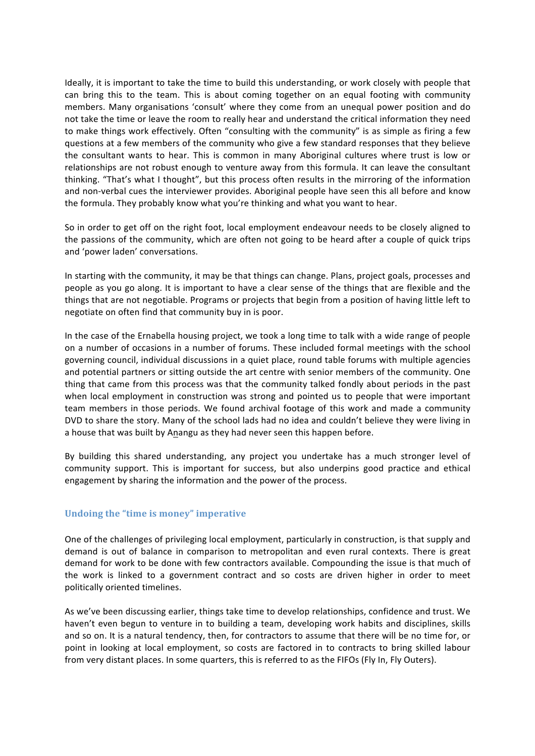Ideally, it is important to take the time to build this understanding, or work closely with people that can bring this to the team. This is about coming together on an equal footing with community members. Many organisations 'consult' where they come from an unequal power position and do not take the time or leave the room to really hear and understand the critical information they need to make things work effectively. Often "consulting with the community" is as simple as firing a few questions at a few members of the community who give a few standard responses that they believe the consultant wants to hear. This is common in many Aboriginal cultures where trust is low or relationships are not robust enough to venture away from this formula. It can leave the consultant thinking. "That's what I thought", but this process often results in the mirroring of the information and non‐verbal cues the interviewer provides. Aboriginal people have seen this all before and know the formula. They probably know what you're thinking and what you want to hear.

So in order to get off on the right foot, local employment endeavour needs to be closely aligned to the passions of the community, which are often not going to be heard after a couple of quick trips and 'power laden' conversations.

In starting with the community, it may be that things can change. Plans, project goals, processes and people as you go along. It is important to have a clear sense of the things that are flexible and the things that are not negotiable. Programs or projects that begin from a position of having little left to negotiate on often find that community buy in is poor.

In the case of the Ernabella housing project, we took a long time to talk with a wide range of people on a number of occasions in a number of forums. These included formal meetings with the school governing council, individual discussions in a quiet place, round table forums with multiple agencies and potential partners or sitting outside the art centre with senior members of the community. One thing that came from this process was that the community talked fondly about periods in the past when local employment in construction was strong and pointed us to people that were important team members in those periods. We found archival footage of this work and made a community DVD to share the story. Many of the school lads had no idea and couldn't believe they were living in a house that was built by Anangu as they had never seen this happen before.

By building this shared understanding, any project you undertake has a much stronger level of community support. This is important for success, but also underpins good practice and ethical engagement by sharing the information and the power of the process.

#### **Undoing the "time is money" imperative**

One of the challenges of privileging local employment, particularly in construction, is that supply and demand is out of balance in comparison to metropolitan and even rural contexts. There is great demand for work to be done with few contractors available. Compounding the issue is that much of the work is linked to a government contract and so costs are driven higher in order to meet politically oriented timelines.

As we've been discussing earlier, things take time to develop relationships, confidence and trust. We haven't even begun to venture in to building a team, developing work habits and disciplines, skills and so on. It is a natural tendency, then, for contractors to assume that there will be no time for, or point in looking at local employment, so costs are factored in to contracts to bring skilled labour from very distant places. In some quarters, this is referred to as the FIFOs (Fly In, Fly Outers).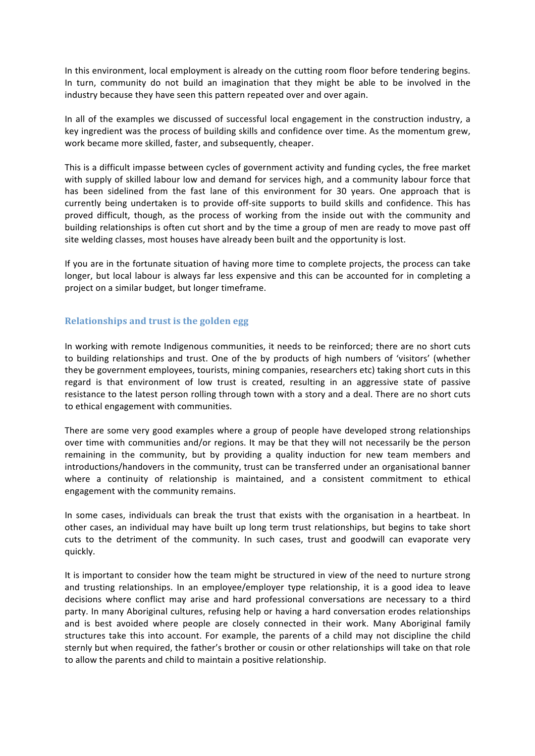In this environment, local employment is already on the cutting room floor before tendering begins. In turn, community do not build an imagination that they might be able to be involved in the industry because they have seen this pattern repeated over and over again.

In all of the examples we discussed of successful local engagement in the construction industry, a key ingredient was the process of building skills and confidence over time. As the momentum grew, work became more skilled, faster, and subsequently, cheaper.

This is a difficult impasse between cycles of government activity and funding cycles, the free market with supply of skilled labour low and demand for services high, and a community labour force that has been sidelined from the fast lane of this environment for 30 years. One approach that is currently being undertaken is to provide off‐site supports to build skills and confidence. This has proved difficult, though, as the process of working from the inside out with the community and building relationships is often cut short and by the time a group of men are ready to move past off site welding classes, most houses have already been built and the opportunity is lost.

If you are in the fortunate situation of having more time to complete projects, the process can take longer, but local labour is always far less expensive and this can be accounted for in completing a project on a similar budget, but longer timeframe.

#### **Relationships and trust is the golden egg**

In working with remote Indigenous communities, it needs to be reinforced; there are no short cuts to building relationships and trust. One of the by products of high numbers of 'visitors' (whether they be government employees, tourists, mining companies, researchers etc) taking short cuts in this regard is that environment of low trust is created, resulting in an aggressive state of passive resistance to the latest person rolling through town with a story and a deal. There are no short cuts to ethical engagement with communities.

There are some very good examples where a group of people have developed strong relationships over time with communities and/or regions. It may be that they will not necessarily be the person remaining in the community, but by providing a quality induction for new team members and introductions/handovers in the community, trust can be transferred under an organisational banner where a continuity of relationship is maintained, and a consistent commitment to ethical engagement with the community remains.

In some cases, individuals can break the trust that exists with the organisation in a heartbeat. In other cases, an individual may have built up long term trust relationships, but begins to take short cuts to the detriment of the community. In such cases, trust and goodwill can evaporate very quickly.

It is important to consider how the team might be structured in view of the need to nurture strong and trusting relationships. In an employee/employer type relationship, it is a good idea to leave decisions where conflict may arise and hard professional conversations are necessary to a third party. In many Aboriginal cultures, refusing help or having a hard conversation erodes relationships and is best avoided where people are closely connected in their work. Many Aboriginal family structures take this into account. For example, the parents of a child may not discipline the child sternly but when required, the father's brother or cousin or other relationships will take on that role to allow the parents and child to maintain a positive relationship.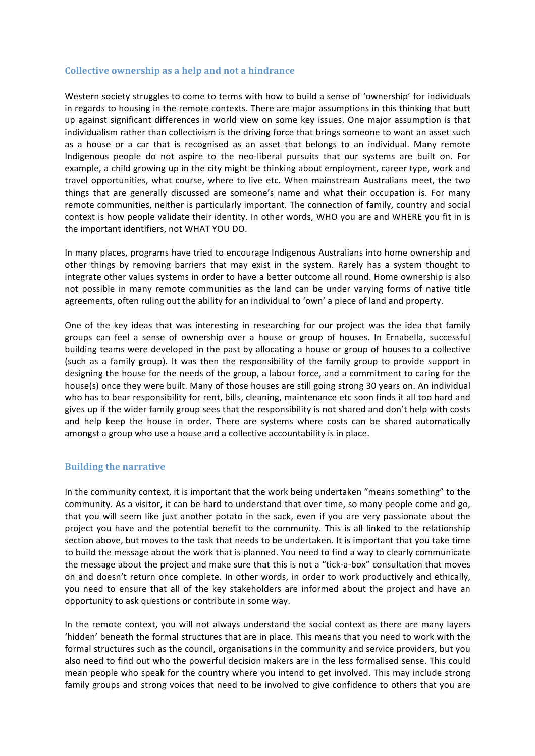#### **Collective ownership as a help and not a hindrance**

Western society struggles to come to terms with how to build a sense of 'ownership' for individuals in regards to housing in the remote contexts. There are major assumptions in this thinking that butt up against significant differences in world view on some key issues. One major assumption is that individualism rather than collectivism is the driving force that brings someone to want an asset such as a house or a car that is recognised as an asset that belongs to an individual. Many remote Indigenous people do not aspire to the neo‐liberal pursuits that our systems are built on. For example, a child growing up in the city might be thinking about employment, career type, work and travel opportunities, what course, where to live etc. When mainstream Australians meet, the two things that are generally discussed are someone's name and what their occupation is. For many remote communities, neither is particularly important. The connection of family, country and social context is how people validate their identity. In other words, WHO you are and WHERE you fit in is the important identifiers, not WHAT YOU DO.

In many places, programs have tried to encourage Indigenous Australians into home ownership and other things by removing barriers that may exist in the system. Rarely has a system thought to integrate other values systems in order to have a better outcome all round. Home ownership is also not possible in many remote communities as the land can be under varying forms of native title agreements, often ruling out the ability for an individual to 'own' a piece of land and property.

One of the key ideas that was interesting in researching for our project was the idea that family groups can feel a sense of ownership over a house or group of houses. In Ernabella, successful building teams were developed in the past by allocating a house or group of houses to a collective (such as a family group). It was then the responsibility of the family group to provide support in designing the house for the needs of the group, a labour force, and a commitment to caring for the house(s) once they were built. Many of those houses are still going strong 30 years on. An individual who has to bear responsibility for rent, bills, cleaning, maintenance etc soon finds it all too hard and gives up if the wider family group sees that the responsibility is not shared and don't help with costs and help keep the house in order. There are systems where costs can be shared automatically amongst a group who use a house and a collective accountability is in place.

#### **Building the narrative**

In the community context, it is important that the work being undertaken "means something" to the community. As a visitor, it can be hard to understand that over time, so many people come and go, that you will seem like just another potato in the sack, even if you are very passionate about the project you have and the potential benefit to the community. This is all linked to the relationship section above, but moves to the task that needs to be undertaken. It is important that you take time to build the message about the work that is planned. You need to find a way to clearly communicate the message about the project and make sure that this is not a "tick‐a‐box" consultation that moves on and doesn't return once complete. In other words, in order to work productively and ethically, you need to ensure that all of the key stakeholders are informed about the project and have an opportunity to ask questions or contribute in some way.

In the remote context, you will not always understand the social context as there are many layers 'hidden' beneath the formal structures that are in place. This means that you need to work with the formal structures such as the council, organisations in the community and service providers, but you also need to find out who the powerful decision makers are in the less formalised sense. This could mean people who speak for the country where you intend to get involved. This may include strong family groups and strong voices that need to be involved to give confidence to others that you are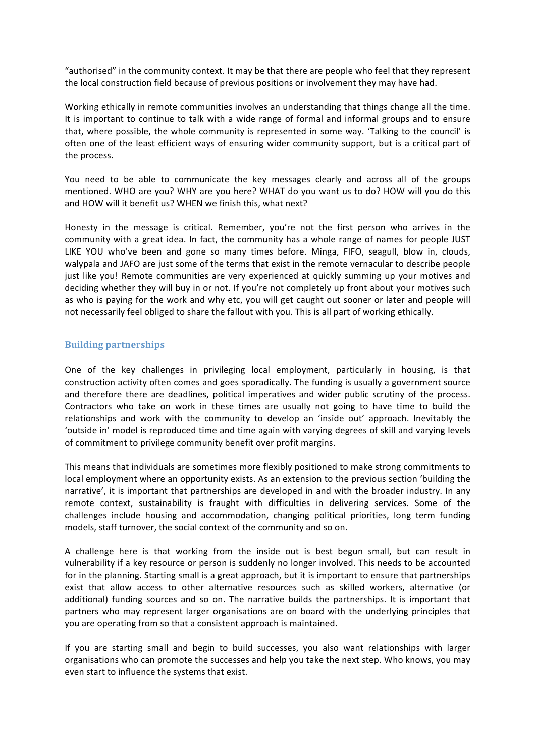"authorised" in the community context. It may be that there are people who feel that they represent the local construction field because of previous positions or involvement they may have had.

Working ethically in remote communities involves an understanding that things change all the time. It is important to continue to talk with a wide range of formal and informal groups and to ensure that, where possible, the whole community is represented in some way. 'Talking to the council' is often one of the least efficient ways of ensuring wider community support, but is a critical part of the process.

You need to be able to communicate the key messages clearly and across all of the groups mentioned. WHO are you? WHY are you here? WHAT do you want us to do? HOW will you do this and HOW will it benefit us? WHEN we finish this, what next?

Honesty in the message is critical. Remember, you're not the first person who arrives in the community with a great idea. In fact, the community has a whole range of names for people JUST LIKE YOU who've been and gone so many times before. Minga, FIFO, seagull, blow in, clouds, walypala and JAFO are just some of the terms that exist in the remote vernacular to describe people just like you! Remote communities are very experienced at quickly summing up your motives and deciding whether they will buy in or not. If you're not completely up front about your motives such as who is paying for the work and why etc, you will get caught out sooner or later and people will not necessarily feel obliged to share the fallout with you. This is all part of working ethically.

#### **Building partnerships**

One of the key challenges in privileging local employment, particularly in housing, is that construction activity often comes and goes sporadically. The funding is usually a government source and therefore there are deadlines, political imperatives and wider public scrutiny of the process. Contractors who take on work in these times are usually not going to have time to build the relationships and work with the community to develop an 'inside out' approach. Inevitably the 'outside in' model is reproduced time and time again with varying degrees of skill and varying levels of commitment to privilege community benefit over profit margins.

This means that individuals are sometimes more flexibly positioned to make strong commitments to local employment where an opportunity exists. As an extension to the previous section 'building the narrative', it is important that partnerships are developed in and with the broader industry. In any remote context, sustainability is fraught with difficulties in delivering services. Some of the challenges include housing and accommodation, changing political priorities, long term funding models, staff turnover, the social context of the community and so on.

A challenge here is that working from the inside out is best begun small, but can result in vulnerability if a key resource or person is suddenly no longer involved. This needs to be accounted for in the planning. Starting small is a great approach, but it is important to ensure that partnerships exist that allow access to other alternative resources such as skilled workers, alternative (or additional) funding sources and so on. The narrative builds the partnerships. It is important that partners who may represent larger organisations are on board with the underlying principles that you are operating from so that a consistent approach is maintained.

If you are starting small and begin to build successes, you also want relationships with larger organisations who can promote the successes and help you take the next step. Who knows, you may even start to influence the systems that exist.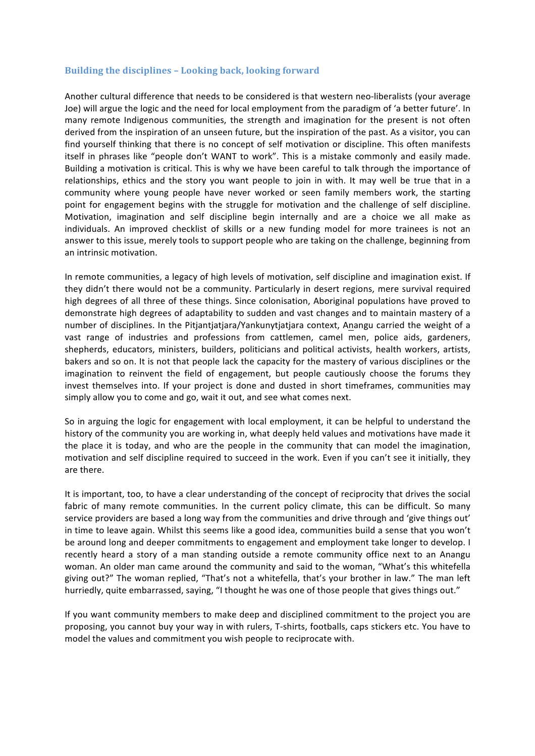#### **Building the disciplines – Looking back, looking forward**

Another cultural difference that needs to be considered is that western neo-liberalists (your average Joe) will argue the logic and the need for local employment from the paradigm of 'a better future'. In many remote Indigenous communities, the strength and imagination for the present is not often derived from the inspiration of an unseen future, but the inspiration of the past. As a visitor, you can find yourself thinking that there is no concept of self motivation or discipline. This often manifests itself in phrases like "people don't WANT to work". This is a mistake commonly and easily made. Building a motivation is critical. This is why we have been careful to talk through the importance of relationships, ethics and the story you want people to join in with. It may well be true that in a community where young people have never worked or seen family members work, the starting point for engagement begins with the struggle for motivation and the challenge of self discipline. Motivation, imagination and self discipline begin internally and are a choice we all make as individuals. An improved checklist of skills or a new funding model for more trainees is not an answer to this issue, merely tools to support people who are taking on the challenge, beginning from an intrinsic motivation.

In remote communities, a legacy of high levels of motivation, self discipline and imagination exist. If they didn't there would not be a community. Particularly in desert regions, mere survival required high degrees of all three of these things. Since colonisation, Aboriginal populations have proved to demonstrate high degrees of adaptability to sudden and vast changes and to maintain mastery of a number of disciplines. In the Pitjantjatjara/Yankunytjatjara context, Anangu carried the weight of a vast range of industries and professions from cattlemen, camel men, police aids, gardeners, shepherds, educators, ministers, builders, politicians and political activists, health workers, artists, bakers and so on. It is not that people lack the capacity for the mastery of various disciplines or the imagination to reinvent the field of engagement, but people cautiously choose the forums they invest themselves into. If your project is done and dusted in short timeframes, communities may simply allow you to come and go, wait it out, and see what comes next.

So in arguing the logic for engagement with local employment, it can be helpful to understand the history of the community you are working in, what deeply held values and motivations have made it the place it is today, and who are the people in the community that can model the imagination, motivation and self discipline required to succeed in the work. Even if you can't see it initially, they are there.

It is important, too, to have a clear understanding of the concept of reciprocity that drives the social fabric of many remote communities. In the current policy climate, this can be difficult. So many service providers are based a long way from the communities and drive through and 'give things out' in time to leave again. Whilst this seems like a good idea, communities build a sense that you won't be around long and deeper commitments to engagement and employment take longer to develop. I recently heard a story of a man standing outside a remote community office next to an Anangu woman. An older man came around the community and said to the woman, "What's this whitefella giving out?" The woman replied, "That's not a whitefella, that's your brother in law." The man left hurriedly, quite embarrassed, saying, "I thought he was one of those people that gives things out."

If you want community members to make deep and disciplined commitment to the project you are proposing, you cannot buy your way in with rulers, T‐shirts, footballs, caps stickers etc. You have to model the values and commitment you wish people to reciprocate with.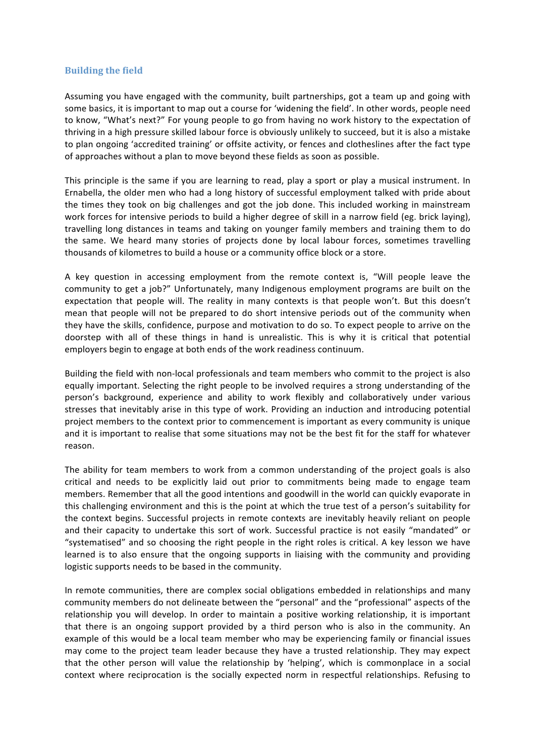#### **Building the field**

Assuming you have engaged with the community, built partnerships, got a team up and going with some basics, it is important to map out a course for 'widening the field'. In other words, people need to know, "What's next?" For young people to go from having no work history to the expectation of thriving in a high pressure skilled labour force is obviously unlikely to succeed, but it is also a mistake to plan ongoing 'accredited training' or offsite activity, or fences and clotheslines after the fact type of approaches without a plan to move beyond these fields as soon as possible.

This principle is the same if you are learning to read, play a sport or play a musical instrument. In Ernabella, the older men who had a long history of successful employment talked with pride about the times they took on big challenges and got the job done. This included working in mainstream work forces for intensive periods to build a higher degree of skill in a narrow field (eg. brick laying), travelling long distances in teams and taking on younger family members and training them to do the same. We heard many stories of projects done by local labour forces, sometimes travelling thousands of kilometres to build a house or a community office block or a store.

A key question in accessing employment from the remote context is, "Will people leave the community to get a job?" Unfortunately, many Indigenous employment programs are built on the expectation that people will. The reality in many contexts is that people won't. But this doesn't mean that people will not be prepared to do short intensive periods out of the community when they have the skills, confidence, purpose and motivation to do so. To expect people to arrive on the doorstep with all of these things in hand is unrealistic. This is why it is critical that potential employers begin to engage at both ends of the work readiness continuum.

Building the field with non‐local professionals and team members who commit to the project is also equally important. Selecting the right people to be involved requires a strong understanding of the person's background, experience and ability to work flexibly and collaboratively under various stresses that inevitably arise in this type of work. Providing an induction and introducing potential project members to the context prior to commencement is important as every community is unique and it is important to realise that some situations may not be the best fit for the staff for whatever reason.

The ability for team members to work from a common understanding of the project goals is also critical and needs to be explicitly laid out prior to commitments being made to engage team members. Remember that all the good intentions and goodwill in the world can quickly evaporate in this challenging environment and this is the point at which the true test of a person's suitability for the context begins. Successful projects in remote contexts are inevitably heavily reliant on people and their capacity to undertake this sort of work. Successful practice is not easily "mandated" or "systematised" and so choosing the right people in the right roles is critical. A key lesson we have learned is to also ensure that the ongoing supports in liaising with the community and providing logistic supports needs to be based in the community.

In remote communities, there are complex social obligations embedded in relationships and many community members do not delineate between the "personal" and the "professional" aspects of the relationship you will develop. In order to maintain a positive working relationship, it is important that there is an ongoing support provided by a third person who is also in the community. An example of this would be a local team member who may be experiencing family or financial issues may come to the project team leader because they have a trusted relationship. They may expect that the other person will value the relationship by 'helping', which is commonplace in a social context where reciprocation is the socially expected norm in respectful relationships. Refusing to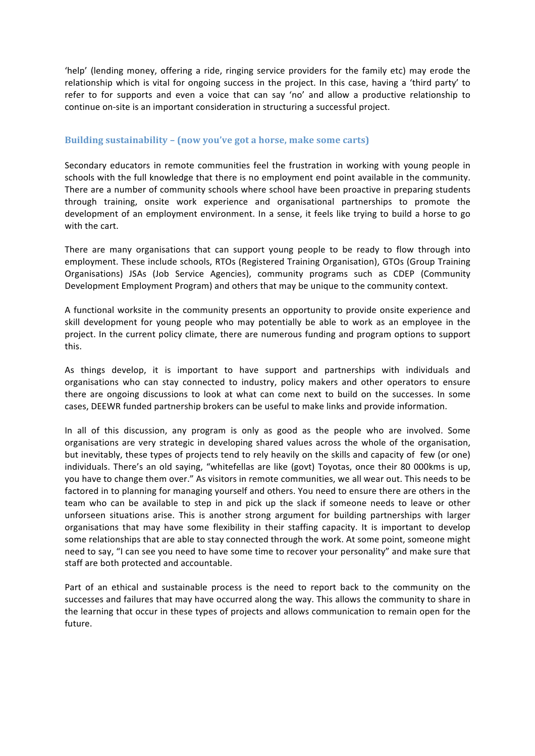'help' (lending money, offering a ride, ringing service providers for the family etc) may erode the relationship which is vital for ongoing success in the project. In this case, having a 'third party' to refer to for supports and even a voice that can say 'no' and allow a productive relationship to continue on‐site is an important consideration in structuring a successful project.

#### **Building sustainability – (now you've got a horse, make some carts)**

Secondary educators in remote communities feel the frustration in working with young people in schools with the full knowledge that there is no employment end point available in the community. There are a number of community schools where school have been proactive in preparing students through training, onsite work experience and organisational partnerships to promote the development of an employment environment. In a sense, it feels like trying to build a horse to go with the cart.

There are many organisations that can support young people to be ready to flow through into employment. These include schools, RTOs (Registered Training Organisation), GTOs (Group Training Organisations) JSAs (Job Service Agencies), community programs such as CDEP (Community Development Employment Program) and others that may be unique to the community context.

A functional worksite in the community presents an opportunity to provide onsite experience and skill development for young people who may potentially be able to work as an employee in the project. In the current policy climate, there are numerous funding and program options to support this.

As things develop, it is important to have support and partnerships with individuals and organisations who can stay connected to industry, policy makers and other operators to ensure there are ongoing discussions to look at what can come next to build on the successes. In some cases, DEEWR funded partnership brokers can be useful to make links and provide information.

In all of this discussion, any program is only as good as the people who are involved. Some organisations are very strategic in developing shared values across the whole of the organisation, but inevitably, these types of projects tend to rely heavily on the skills and capacity of few (or one) individuals. There's an old saying, "whitefellas are like (govt) Toyotas, once their 80 000kms is up, you have to change them over." As visitors in remote communities, we all wear out. This needs to be factored in to planning for managing yourself and others. You need to ensure there are others in the team who can be available to step in and pick up the slack if someone needs to leave or other unforseen situations arise. This is another strong argument for building partnerships with larger organisations that may have some flexibility in their staffing capacity. It is important to develop some relationships that are able to stay connected through the work. At some point, someone might need to say, "I can see you need to have some time to recover your personality" and make sure that staff are both protected and accountable.

Part of an ethical and sustainable process is the need to report back to the community on the successes and failures that may have occurred along the way. This allows the community to share in the learning that occur in these types of projects and allows communication to remain open for the future.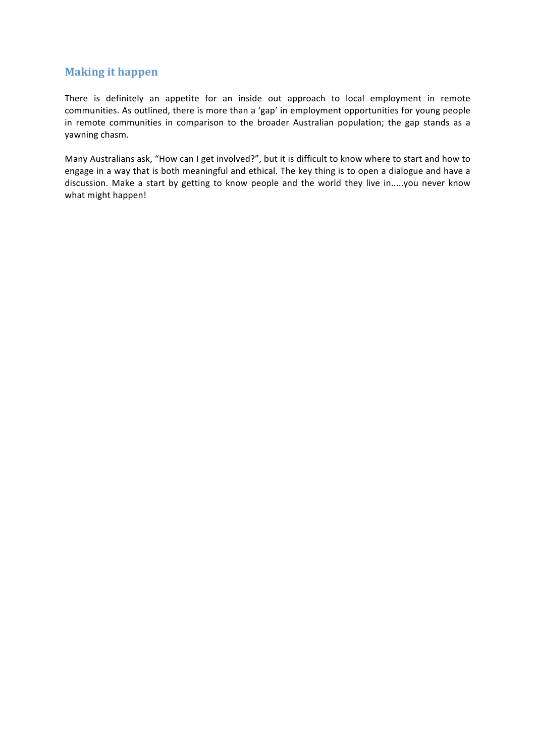## **Making it happen**

There is definitely an appetite for an inside out approach to local employment in remote communities. As outlined, there is more than a 'gap' in employment opportunities for young people in remote communities in comparison to the broader Australian population; the gap stands as a yawning chasm.

Many Australians ask, "How can I get involved?", but it is difficult to know where to start and how to engage in a way that is both meaningful and ethical. The key thing is to open a dialogue and have a discussion. Make a start by getting to know people and the world they live in.....you never know what might happen!